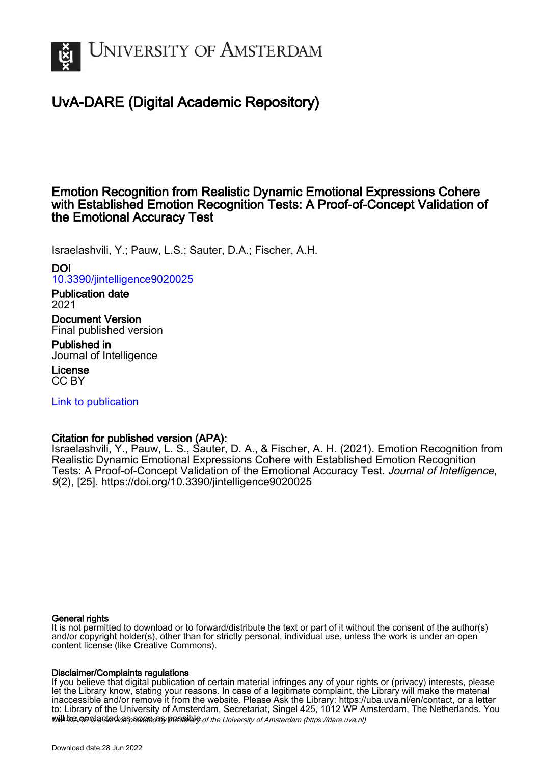

# UvA-DARE (Digital Academic Repository)

# Emotion Recognition from Realistic Dynamic Emotional Expressions Cohere with Established Emotion Recognition Tests: A Proof-of-Concept Validation of the Emotional Accuracy Test

Israelashvili, Y.; Pauw, L.S.; Sauter, D.A.; Fischer, A.H.

DOI

[10.3390/jintelligence9020025](https://doi.org/10.3390/jintelligence9020025)

Publication date 2021

Document Version Final published version

Published in Journal of Intelligence

License CC BY

[Link to publication](https://dare.uva.nl/personal/pure/en/publications/emotion-recognition-from-realistic-dynamic-emotional-expressions-cohere-with-established-emotion-recognition-tests-a-proofofconcept-validation-of-the-emotional-accuracy-test(a4f98f22-f854-409c-9e3d-c23a974ec451).html)

# Citation for published version (APA):

Israelashvili, Y., Pauw, L. S., Sauter, D. A., & Fischer, A. H. (2021). Emotion Recognition from Realistic Dynamic Emotional Expressions Cohere with Established Emotion Recognition Tests: A Proof-of-Concept Validation of the Emotional Accuracy Test. Journal of Intelligence, 9(2), [25]. <https://doi.org/10.3390/jintelligence9020025>

# General rights

It is not permitted to download or to forward/distribute the text or part of it without the consent of the author(s) and/or copyright holder(s), other than for strictly personal, individual use, unless the work is under an open content license (like Creative Commons).

# Disclaimer/Complaints regulations

will be contacted as sontacty pessible of the University of Amsterdam (https://dare.uva.nl) If you believe that digital publication of certain material infringes any of your rights or (privacy) interests, please let the Library know, stating your reasons. In case of a legitimate complaint, the Library will make the material inaccessible and/or remove it from the website. Please Ask the Library: https://uba.uva.nl/en/contact, or a letter to: Library of the University of Amsterdam, Secretariat, Singel 425, 1012 WP Amsterdam, The Netherlands. You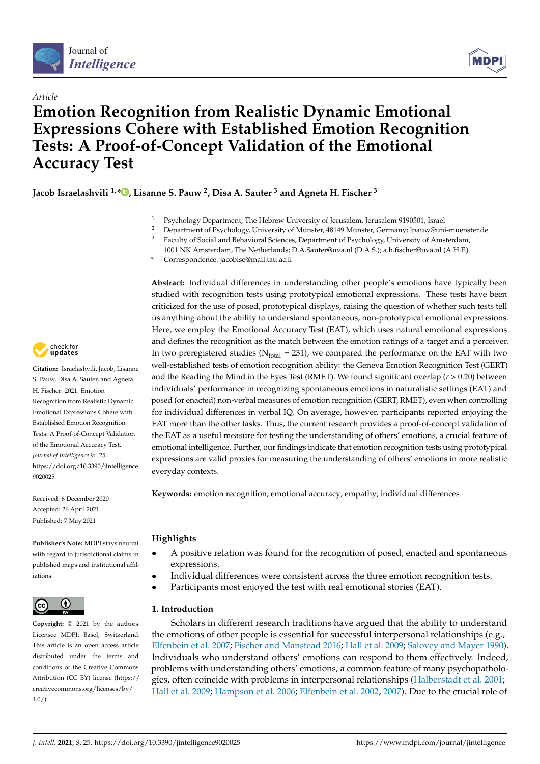



# *Article* **Emotion Recognition from Realistic Dynamic Emotional Expressions Cohere with Established Emotion Recognition Tests: A Proof-of-Concept Validation of the Emotional Accuracy Test**

**Jacob Israelashvili 1,[\\*](https://orcid.org/0000-0003-1289-223X) , Lisanne S. Pauw <sup>2</sup> , Disa A. Sauter <sup>3</sup> and Agneta H. Fischer <sup>3</sup>**

- <sup>1</sup> Psychology Department, The Hebrew University of Jerusalem, Jerusalem 9190501, Israel<br><sup>2</sup> Department of Department and University of Mington 49149 Mington Company Insuration
- <sup>2</sup> Department of Psychology, University of Münster, 48149 Münster, Germany; lpauw@uni-muenster.de<br><sup>3</sup> Equility of Social and Bohavioral Sciences, Department of Psychology, University of Amsterdam
- Faculty of Social and Behavioral Sciences, Department of Psychology, University of Amsterdam, 1001 NK Amsterdam, The Netherlands; D.A.Sauter@uva.nl (D.A.S.); a.h.fischer@uva.nl (A.H.F.)
- **\*** Correspondence: jacobise@mail.tau.ac.il



**Citation:** Israelashvili, Jacob, Lisanne S. Pauw, Disa A. Sauter, and Agneta H. Fischer. 2021. Emotion Recognition from Realistic Dynamic Emotional Expressions Cohere with Established Emotion Recognition Tests: A Proof-of-Concept Validation of the Emotional Accuracy Test. *Journal of Intelligence* 9: 25. [https://doi.org/10.3390/jintelligence](https://doi.org/10.3390/jintelligence9020025) [9020025](https://doi.org/10.3390/jintelligence9020025)

Received: 6 December 2020 Accepted: 26 April 2021 Published: 7 May 2021

**Publisher's Note:** MDPI stays neutral with regard to jurisdictional claims in published maps and institutional affiliations.



**Copyright:** © 2021 by the authors. Licensee MDPI, Basel, Switzerland. This article is an open access article distributed under the terms and conditions of the Creative Commons Attribution (CC BY) license (https:/[/](https://creativecommons.org/licenses/by/4.0/) [creativecommons.org/licenses/by/](https://creativecommons.org/licenses/by/4.0/)  $4.0/$ ).

**Abstract:** Individual differences in understanding other people's emotions have typically been studied with recognition tests using prototypical emotional expressions. These tests have been criticized for the use of posed, prototypical displays, raising the question of whether such tests tell us anything about the ability to understand spontaneous, non-prototypical emotional expressions. Here, we employ the Emotional Accuracy Test (EAT), which uses natural emotional expressions and defines the recognition as the match between the emotion ratings of a target and a perceiver. In two preregistered studies ( $N_{total}$  = 231), we compared the performance on the EAT with two well-established tests of emotion recognition ability: the Geneva Emotion Recognition Test (GERT) and the Reading the Mind in the Eyes Test (RMET). We found significant overlap  $(r > 0.20)$  between individuals' performance in recognizing spontaneous emotions in naturalistic settings (EAT) and posed (or enacted) non-verbal measures of emotion recognition (GERT, RMET), even when controlling for individual differences in verbal IQ. On average, however, participants reported enjoying the EAT more than the other tasks. Thus, the current research provides a proof-of-concept validation of the EAT as a useful measure for testing the understanding of others' emotions, a crucial feature of emotional intelligence. Further, our findings indicate that emotion recognition tests using prototypical expressions are valid proxies for measuring the understanding of others' emotions in more realistic everyday contexts.

**Keywords:** emotion recognition; emotional accuracy; empathy; individual differences

# **Highlights**

- A positive relation was found for the recognition of posed, enacted and spontaneous expressions.
- Individual differences were consistent across the three emotion recognition tests.
- Participants most enjoyed the test with real emotional stories (EAT).

# **1. Introduction**

Scholars in different research traditions have argued that the ability to understand the emotions of other people is essential for successful interpersonal relationships (e.g., [Elfenbein et al.](#page-12-0) [2007;](#page-12-0) [Fischer and Manstead](#page-13-0) [2016;](#page-13-0) [Hall et al.](#page-13-1) [2009;](#page-13-1) [Salovey and Mayer](#page-13-2) [1990\)](#page-13-2). Individuals who understand others' emotions can respond to them effectively. Indeed, problems with understanding others' emotions, a common feature of many psychopathologies, often coincide with problems in interpersonal relationships [\(Halberstadt et al.](#page-13-3) [2001;](#page-13-3) [Hall et al.](#page-13-1) [2009;](#page-13-1) [Hampson et al.](#page-13-4) [2006;](#page-13-4) [Elfenbein et al.](#page-12-1) [2002,](#page-12-1) [2007\)](#page-12-0). Due to the crucial role of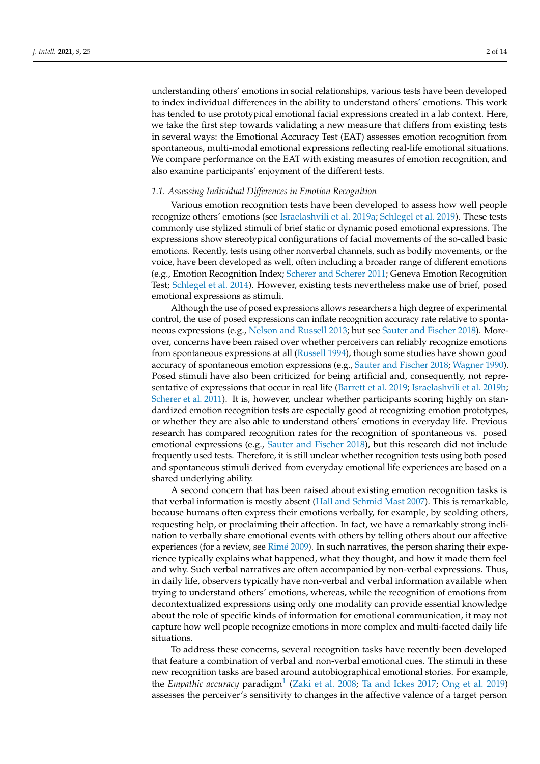understanding others' emotions in social relationships, various tests have been developed to index individual differences in the ability to understand others' emotions. This work has tended to use prototypical emotional facial expressions created in a lab context. Here, we take the first step towards validating a new measure that differs from existing tests in several ways: the Emotional Accuracy Test (EAT) assesses emotion recognition from spontaneous, multi-modal emotional expressions reflecting real-life emotional situations. We compare performance on the EAT with existing measures of emotion recognition, and also examine participants' enjoyment of the different tests.

#### *1.1. Assessing Individual Differences in Emotion Recognition*

Various emotion recognition tests have been developed to assess how well people recognize others' emotions (see [Israelashvili et al.](#page-13-5) [2019a;](#page-13-5) [Schlegel et al.](#page-14-0) [2019\)](#page-14-0). These tests commonly use stylized stimuli of brief static or dynamic posed emotional expressions. The expressions show stereotypical configurations of facial movements of the so-called basic emotions. Recently, tests using other nonverbal channels, such as bodily movements, or the voice, have been developed as well, often including a broader range of different emotions (e.g., Emotion Recognition Index; [Scherer and Scherer](#page-13-6) [2011;](#page-13-6) Geneva Emotion Recognition Test; [Schlegel et al.](#page-14-1) [2014\)](#page-14-1). However, existing tests nevertheless make use of brief, posed emotional expressions as stimuli.

Although the use of posed expressions allows researchers a high degree of experimental control, the use of posed expressions can inflate recognition accuracy rate relative to spontaneous expressions (e.g., [Nelson and Russell](#page-13-7) [2013;](#page-13-7) but see [Sauter and Fischer](#page-13-8) [2018\)](#page-13-8). Moreover, concerns have been raised over whether perceivers can reliably recognize emotions from spontaneous expressions at all [\(Russell](#page-13-9) [1994\)](#page-13-9), though some studies have shown good accuracy of spontaneous emotion expressions (e.g., [Sauter and Fischer](#page-13-8) [2018;](#page-13-8) [Wagner](#page-14-2) [1990\)](#page-14-2). Posed stimuli have also been criticized for being artificial and, consequently, not representative of expressions that occur in real life [\(Barrett et al.](#page-12-2) [2019;](#page-12-2) [Israelashvili et al.](#page-13-10) [2019b;](#page-13-10) [Scherer et al.](#page-13-11) [2011\)](#page-13-11). It is, however, unclear whether participants scoring highly on standardized emotion recognition tests are especially good at recognizing emotion prototypes, or whether they are also able to understand others' emotions in everyday life. Previous research has compared recognition rates for the recognition of spontaneous vs. posed emotional expressions (e.g., [Sauter and Fischer](#page-13-8) [2018\)](#page-13-8), but this research did not include frequently used tests. Therefore, it is still unclear whether recognition tests using both posed and spontaneous stimuli derived from everyday emotional life experiences are based on a shared underlying ability.

A second concern that has been raised about existing emotion recognition tasks is that verbal information is mostly absent [\(Hall and Schmid Mast](#page-13-12) [2007\)](#page-13-12). This is remarkable, because humans often express their emotions verbally, for example, by scolding others, requesting help, or proclaiming their affection. In fact, we have a remarkably strong inclination to verbally share emotional events with others by telling others about our affective experiences (for a review, see [Rim](#page-13-13)é [2009\)](#page-13-13). In such narratives, the person sharing their experience typically explains what happened, what they thought, and how it made them feel and why. Such verbal narratives are often accompanied by non-verbal expressions. Thus, in daily life, observers typically have non-verbal and verbal information available when trying to understand others' emotions, whereas, while the recognition of emotions from decontextualized expressions using only one modality can provide essential knowledge about the role of specific kinds of information for emotional communication, it may not capture how well people recognize emotions in more complex and multi-faceted daily life situations.

To address these concerns, several recognition tasks have recently been developed that feature a combination of verbal and non-verbal emotional cues. The stimuli in these new recognition tasks are based around autobiographical emotional stories. For example, the *Empathic accuracy* paradigm<sup>[1](#page-12-3)</sup> [\(Zaki et al.](#page-14-3) [2008;](#page-14-3) [Ta and Ickes](#page-14-4) [2017;](#page-14-4) [Ong et al.](#page-13-14) [2019\)](#page-13-14) assesses the perceiver's sensitivity to changes in the affective valence of a target person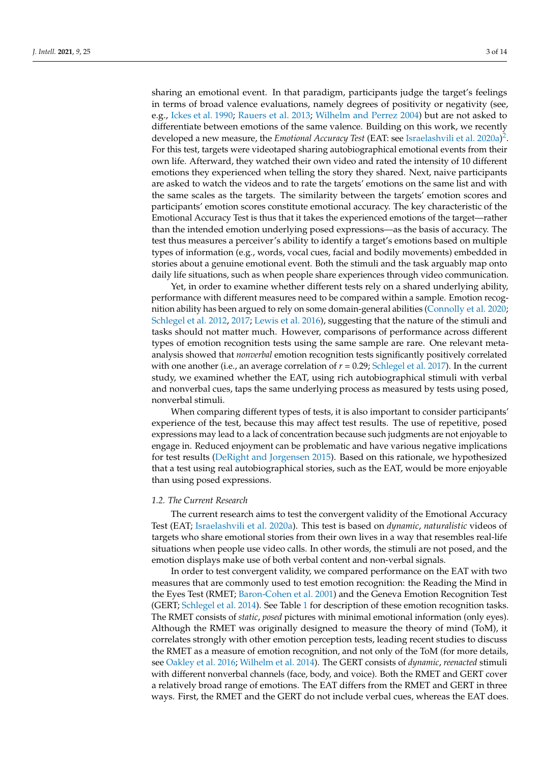sharing an emotional event. In that paradigm, participants judge the target's feelings in terms of broad valence evaluations, namely degrees of positivity or negativity (see, e.g., [Ickes et al.](#page-13-15) [1990;](#page-13-15) [Rauers et al.](#page-13-16) [2013;](#page-13-16) [Wilhelm and Perrez](#page-14-5) [2004\)](#page-14-5) but are not asked to differentiate between emotions of the same valence. Building on this work, we recently developed a new measure, the *Emotional Accuracy Test* (EAT: see [Israelashvili et al.](#page-13-17) [2020a\)](#page-13-17) [2](#page-12-4) . For this test, targets were videotaped sharing autobiographical emotional events from their own life. Afterward, they watched their own video and rated the intensity of 10 different emotions they experienced when telling the story they shared. Next, naive participants are asked to watch the videos and to rate the targets' emotions on the same list and with the same scales as the targets. The similarity between the targets' emotion scores and participants' emotion scores constitute emotional accuracy. The key characteristic of the Emotional Accuracy Test is thus that it takes the experienced emotions of the target—rather than the intended emotion underlying posed expressions—as the basis of accuracy. The test thus measures a perceiver's ability to identify a target's emotions based on multiple types of information (e.g., words, vocal cues, facial and bodily movements) embedded in stories about a genuine emotional event. Both the stimuli and the task arguably map onto daily life situations, such as when people share experiences through video communication.

Yet, in order to examine whether different tests rely on a shared underlying ability, performance with different measures need to be compared within a sample. Emotion recognition ability has been argued to rely on some domain-general abilities [\(Connolly et al.](#page-12-5) [2020;](#page-12-5) [Schlegel et al.](#page-13-18) [2012,](#page-13-18) [2017;](#page-14-6) [Lewis et al.](#page-13-19) [2016\)](#page-13-19), suggesting that the nature of the stimuli and tasks should not matter much. However, comparisons of performance across different types of emotion recognition tests using the same sample are rare. One relevant metaanalysis showed that *nonverbal* emotion recognition tests significantly positively correlated with one another (i.e., an average correlation of  $r = 0.29$ ; [Schlegel et al.](#page-14-6) [2017\)](#page-14-6). In the current study, we examined whether the EAT, using rich autobiographical stimuli with verbal and nonverbal cues, taps the same underlying process as measured by tests using posed, nonverbal stimuli.

When comparing different types of tests, it is also important to consider participants' experience of the test, because this may affect test results. The use of repetitive, posed expressions may lead to a lack of concentration because such judgments are not enjoyable to engage in. Reduced enjoyment can be problematic and have various negative implications for test results [\(DeRight and Jorgensen](#page-12-6) [2015\)](#page-12-6). Based on this rationale, we hypothesized that a test using real autobiographical stories, such as the EAT, would be more enjoyable than using posed expressions.

#### *1.2. The Current Research*

The current research aims to test the convergent validity of the Emotional Accuracy Test (EAT; [Israelashvili et al.](#page-13-17) [2020a\)](#page-13-17). This test is based on *dynamic*, *naturalistic* videos of targets who share emotional stories from their own lives in a way that resembles real-life situations when people use video calls. In other words, the stimuli are not posed, and the emotion displays make use of both verbal content and non-verbal signals.

In order to test convergent validity, we compared performance on the EAT with two measures that are commonly used to test emotion recognition: the Reading the Mind in the Eyes Test (RMET; [Baron-Cohen et al.](#page-12-7) [2001\)](#page-12-7) and the Geneva Emotion Recognition Test (GERT; [Schlegel et al.](#page-14-1) [2014\)](#page-14-1). See Table [1](#page-4-0) for description of these emotion recognition tasks. The RMET consists of *static*, *posed* pictures with minimal emotional information (only eyes). Although the RMET was originally designed to measure the theory of mind (ToM), it correlates strongly with other emotion perception tests, leading recent studies to discuss the RMET as a measure of emotion recognition, and not only of the ToM (for more details, see [Oakley et al.](#page-13-20) [2016;](#page-13-20) [Wilhelm et al.](#page-14-7) [2014\)](#page-14-7). The GERT consists of *dynamic*, *reenacted* stimuli with different nonverbal channels (face, body, and voice). Both the RMET and GERT cover a relatively broad range of emotions. The EAT differs from the RMET and GERT in three ways. First, the RMET and the GERT do not include verbal cues, whereas the EAT does.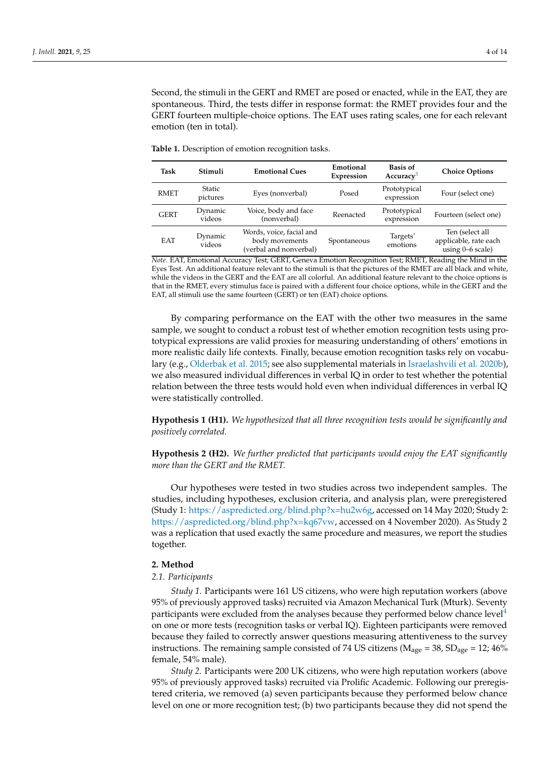Second, the stimuli in the GERT and RMET are posed or enacted, while in the EAT, they are spontaneous. Third, the tests differ in response format: the RMET provides four and the GERT fourteen multiple-choice options. The EAT uses rating scales, one for each relevant emotion (ten in total).

| Task        | Stimuli                   | <b>Emotional Cues</b>                                                | Emotional<br>Expression | <b>Basis of</b><br>Accuracy <sup>3</sup> | <b>Choice Options</b>                                          |
|-------------|---------------------------|----------------------------------------------------------------------|-------------------------|------------------------------------------|----------------------------------------------------------------|
| <b>RMET</b> | <b>Static</b><br>pictures | Eyes (nonverbal)                                                     | Posed                   | Prototypical<br>expression               | Four (select one)                                              |
| <b>GERT</b> | Dynamic<br>videos         | Voice, body and face<br>(nonverbal)                                  | Reenacted               | Prototypical<br>expression               | Fourteen (select one)                                          |
| <b>EAT</b>  | Dynamic<br>videos         | Words, voice, facial and<br>body movements<br>(verbal and nonverbal) | Spontaneous             | Targets'<br>emotions                     | Ten (select all<br>applicable, rate each<br>using $0-6$ scale) |

<span id="page-4-0"></span>**Table 1.** Description of emotion recognition tasks.

*Note.* EAT, Emotional Accuracy Test; GERT, Geneva Emotion Recognition Test; RMET, Reading the Mind in the Eyes Test. An additional feature relevant to the stimuli is that the pictures of the RMET are all black and white, while the videos in the GERT and the EAT are all colorful. An additional feature relevant to the choice options is that in the RMET, every stimulus face is paired with a different four choice options, while in the GERT and the EAT, all stimuli use the same fourteen (GERT) or ten (EAT) choice options.

By comparing performance on the EAT with the other two measures in the same sample, we sought to conduct a robust test of whether emotion recognition tests using prototypical expressions are valid proxies for measuring understanding of others' emotions in more realistic daily life contexts. Finally, because emotion recognition tasks rely on vocabulary (e.g., [Olderbak et al.](#page-13-21) [2015;](#page-13-21) see also supplemental materials in [Israelashvili et al.](#page-13-22) [2020b\)](#page-13-22), we also measured individual differences in verbal IQ in order to test whether the potential relation between the three tests would hold even when individual differences in verbal IQ were statistically controlled.

**Hypothesis 1 (H1).** *We hypothesized that all three recognition tests would be significantly and positively correlated.*

**Hypothesis 2 (H2).** *We further predicted that participants would enjoy the EAT significantly more than the GERT and the RMET.*

Our hypotheses were tested in two studies across two independent samples. The studies, including hypotheses, exclusion criteria, and analysis plan, were preregistered (Study 1: [https://aspredicted.org/blind.php?x=hu2w6g,](https://aspredicted.org/blind.php?x=hu2w6g) accessed on 14 May 2020; Study 2: [https://aspredicted.org/blind.php?x=kq67vw,](https://aspredicted.org/blind.php?x=kq67vw) accessed on 4 November 2020). As Study 2 was a replication that used exactly the same procedure and measures, we report the studies together.

## **2. Method**

#### *2.1. Participants*

*Study 1.* Participants were 161 US citizens, who were high reputation workers (above 95% of previously approved tasks) recruited via Amazon Mechanical Turk (Mturk). Seventy participants were excluded from the analyses because they performed below chance level<sup>[4](#page-12-9)</sup> on one or more tests (recognition tasks or verbal IQ). Eighteen participants were removed because they failed to correctly answer questions measuring attentiveness to the survey instructions. The remaining sample consisted of 74 US citizens ( $M_{\text{age}} = 38$ ,  $SD_{\text{age}} = 12$ ; 46% female, 54% male).

*Study 2.* Participants were 200 UK citizens, who were high reputation workers (above 95% of previously approved tasks) recruited via Prolific Academic. Following our preregistered criteria, we removed (a) seven participants because they performed below chance level on one or more recognition test; (b) two participants because they did not spend the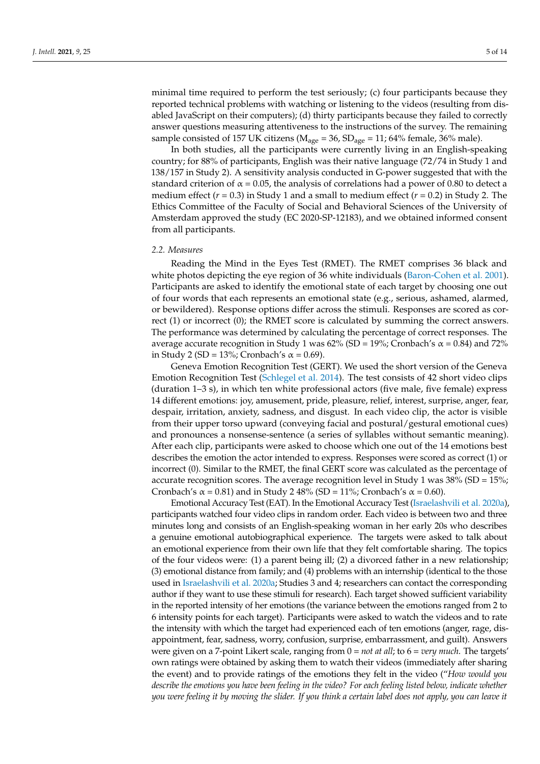minimal time required to perform the test seriously; (c) four participants because they reported technical problems with watching or listening to the videos (resulting from disabled JavaScript on their computers); (d) thirty participants because they failed to correctly answer questions measuring attentiveness to the instructions of the survey. The remaining sample consisted of 157 UK citizens ( $M_{\text{age}} = 36$ ,  $SD_{\text{age}} = 11$ ; 64% female, 36% male).

In both studies, all the participants were currently living in an English-speaking country; for 88% of participants, English was their native language (72/74 in Study 1 and 138/157 in Study 2). A sensitivity analysis conducted in G-power suggested that with the standard criterion of  $\alpha$  = 0.05, the analysis of correlations had a power of 0.80 to detect a medium effect (*r* = 0.3) in Study 1 and a small to medium effect (*r* = 0.2) in Study 2. The Ethics Committee of the Faculty of Social and Behavioral Sciences of the University of Amsterdam approved the study (EC 2020-SP-12183), and we obtained informed consent from all participants.

#### *2.2. Measures*

Reading the Mind in the Eyes Test (RMET). The RMET comprises 36 black and white photos depicting the eye region of 36 white individuals [\(Baron-Cohen et al.](#page-12-7) [2001\)](#page-12-7). Participants are asked to identify the emotional state of each target by choosing one out of four words that each represents an emotional state (e.g., serious, ashamed, alarmed, or bewildered). Response options differ across the stimuli. Responses are scored as correct (1) or incorrect (0); the RMET score is calculated by summing the correct answers. The performance was determined by calculating the percentage of correct responses. The average accurate recognition in Study 1 was  $62\%$  (SD = 19%; Cronbach's  $\alpha$  = 0.84) and 72% in Study 2 (SD = 13%; Cronbach's  $\alpha$  = 0.69).

Geneva Emotion Recognition Test (GERT). We used the short version of the Geneva Emotion Recognition Test [\(Schlegel et al.](#page-14-1) [2014\)](#page-14-1). The test consists of 42 short video clips (duration 1–3 s), in which ten white professional actors (five male, five female) express 14 different emotions: joy, amusement, pride, pleasure, relief, interest, surprise, anger, fear, despair, irritation, anxiety, sadness, and disgust. In each video clip, the actor is visible from their upper torso upward (conveying facial and postural/gestural emotional cues) and pronounces a nonsense-sentence (a series of syllables without semantic meaning). After each clip, participants were asked to choose which one out of the 14 emotions best describes the emotion the actor intended to express. Responses were scored as correct (1) or incorrect (0). Similar to the RMET, the final GERT score was calculated as the percentage of accurate recognition scores. The average recognition level in Study 1 was  $38\%$  (SD =  $15\%$ ; Cronbach's  $\alpha$  = 0.81) and in Study 2 48% (SD = 11%; Cronbach's  $\alpha$  = 0.60).

Emotional Accuracy Test (EAT). In the Emotional Accuracy Test [\(Israelashvili et al.](#page-13-17) [2020a\)](#page-13-17), participants watched four video clips in random order. Each video is between two and three minutes long and consists of an English-speaking woman in her early 20s who describes a genuine emotional autobiographical experience. The targets were asked to talk about an emotional experience from their own life that they felt comfortable sharing. The topics of the four videos were: (1) a parent being ill; (2) a divorced father in a new relationship; (3) emotional distance from family; and (4) problems with an internship (identical to the those used in [Israelashvili et al.](#page-13-17) [2020a;](#page-13-17) Studies 3 and 4; researchers can contact the corresponding author if they want to use these stimuli for research). Each target showed sufficient variability in the reported intensity of her emotions (the variance between the emotions ranged from 2 to 6 intensity points for each target). Participants were asked to watch the videos and to rate the intensity with which the target had experienced each of ten emotions (anger, rage, disappointment, fear, sadness, worry, confusion, surprise, embarrassment, and guilt). Answers were given on a 7-point Likert scale, ranging from 0 = *not at all*; to 6 = *very much*. The targets' own ratings were obtained by asking them to watch their videos (immediately after sharing the event) and to provide ratings of the emotions they felt in the video ("*How would you describe the emotions you have been feeling in the video? For each feeling listed below, indicate whether you were feeling it by moving the slider. If you think a certain label does not apply, you can leave it*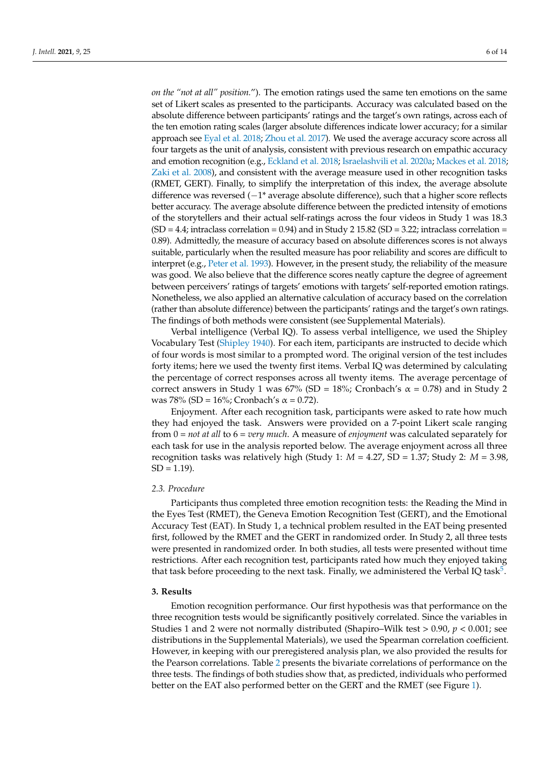*on the "not at all" position.*"). The emotion ratings used the same ten emotions on the same set of Likert scales as presented to the participants. Accuracy was calculated based on the absolute difference between participants' ratings and the target's own ratings, across each of the ten emotion rating scales (larger absolute differences indicate lower accuracy; for a similar approach see [Eyal et al.](#page-12-10) [2018;](#page-12-10) [Zhou et al.](#page-14-8) [2017\)](#page-14-8). We used the average accuracy score across all four targets as the unit of analysis, consistent with previous research on empathic accuracy and emotion recognition (e.g., [Eckland et al.](#page-12-11) [2018;](#page-12-11) [Israelashvili et al.](#page-13-17) [2020a;](#page-13-17) [Mackes et al.](#page-13-23) [2018;](#page-13-23) [Zaki et al.](#page-14-3) [2008\)](#page-14-3), and consistent with the average measure used in other recognition tasks (RMET, GERT). Finally, to simplify the interpretation of this index, the average absolute difference was reversed (−1\* average absolute difference), such that a higher score reflects better accuracy. The average absolute difference between the predicted intensity of emotions of the storytellers and their actual self-ratings across the four videos in Study 1 was 18.3  $(SD = 4.4$ ; intraclass correlation = 0.94) and in Study 2 15.82 (SD = 3.22; intraclass correlation = 0.89). Admittedly, the measure of accuracy based on absolute differences scores is not always suitable, particularly when the resulted measure has poor reliability and scores are difficult to interpret (e.g., [Peter et al.](#page-13-24) [1993\)](#page-13-24). However, in the present study, the reliability of the measure was good. We also believe that the difference scores neatly capture the degree of agreement between perceivers' ratings of targets' emotions with targets' self-reported emotion ratings. Nonetheless, we also applied an alternative calculation of accuracy based on the correlation (rather than absolute difference) between the participants' ratings and the target's own ratings. The findings of both methods were consistent (see Supplemental Materials).

Verbal intelligence (Verbal IQ). To assess verbal intelligence, we used the Shipley Vocabulary Test [\(Shipley](#page-14-9) [1940\)](#page-14-9). For each item, participants are instructed to decide which of four words is most similar to a prompted word. The original version of the test includes forty items; here we used the twenty first items. Verbal IQ was determined by calculating the percentage of correct responses across all twenty items. The average percentage of correct answers in Study 1 was 67% (SD = 18%; Cronbach's  $\alpha$  = 0.78) and in Study 2 was 78% (SD =  $16\%$ ; Cronbach's  $\alpha$  = 0.72).

Enjoyment. After each recognition task, participants were asked to rate how much they had enjoyed the task. Answers were provided on a 7-point Likert scale ranging from 0 = *not at all* to 6 = *very much*. A measure of *enjoyment* was calculated separately for each task for use in the analysis reported below. The average enjoyment across all three recognition tasks was relatively high (Study 1: *M* = 4.27, SD = 1.37; Study 2: *M* = 3.98,  $SD = 1.19$ .

#### *2.3. Procedure*

Participants thus completed three emotion recognition tests: the Reading the Mind in the Eyes Test (RMET), the Geneva Emotion Recognition Test (GERT), and the Emotional Accuracy Test (EAT). In Study 1, a technical problem resulted in the EAT being presented first, followed by the RMET and the GERT in randomized order. In Study 2, all three tests were presented in randomized order. In both studies, all tests were presented without time restrictions. After each recognition test, participants rated how much they enjoyed taking that task before proceeding to the next task. Finally, we administered the Verbal IQ task<sup>[5](#page-12-12)</sup>.

#### **3. Results**

Emotion recognition performance. Our first hypothesis was that performance on the three recognition tests would be significantly positively correlated. Since the variables in Studies 1 and 2 were not normally distributed (Shapiro–Wilk test > 0.90, *p* < 0.001; see distributions in the Supplemental Materials), we used the Spearman correlation coefficient. However, in keeping with our preregistered analysis plan, we also provided the results for the Pearson correlations. Table [2](#page-7-0) presents the bivariate correlations of performance on the three tests. The findings of both studies show that, as predicted, individuals who performed better on the EAT also performed better on the GERT and the RMET (see Figure [1\)](#page-8-0).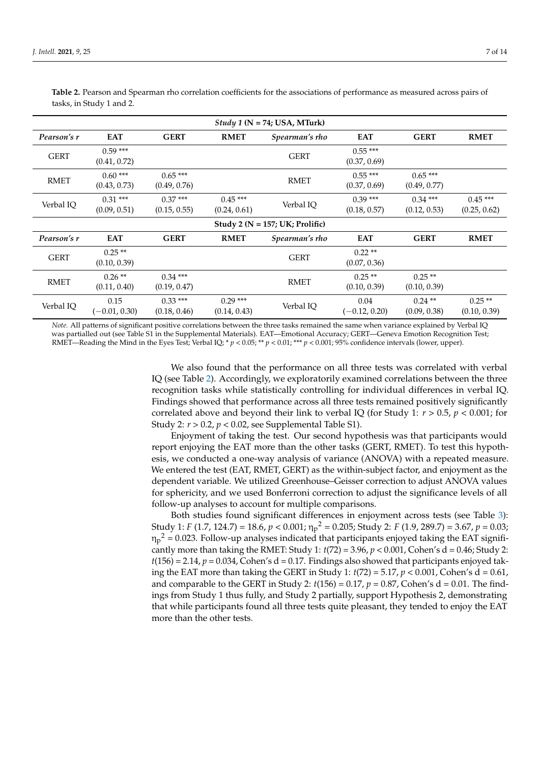<span id="page-7-0"></span>

| Table 2. Pearson and Spearman rho correlation coefficients for the associations of performance as measured across pairs of |  |
|----------------------------------------------------------------------------------------------------------------------------|--|
| tasks, in Study 1 and 2.                                                                                                   |  |

| Study 1 ( $N = 74$ ; USA, MTurk) |                           |                           |                           |                                     |                           |                           |                           |
|----------------------------------|---------------------------|---------------------------|---------------------------|-------------------------------------|---------------------------|---------------------------|---------------------------|
| Pearson's r                      | <b>EAT</b>                | <b>GERT</b>               | <b>RMET</b>               | Spearman's rho                      | <b>EAT</b>                | <b>GERT</b>               | <b>RMET</b>               |
| <b>GERT</b>                      | $0.59***$<br>(0.41, 0.72) |                           |                           | <b>GERT</b>                         | $0.55***$<br>(0.37, 0.69) |                           |                           |
| <b>RMET</b>                      | $0.60***$<br>(0.43, 0.73) | $0.65***$<br>(0.49, 0.76) |                           | <b>RMET</b>                         | $0.55***$<br>(0.37, 0.69) | $0.65***$<br>(0.49, 0.77) |                           |
| Verbal IQ                        | $0.31***$<br>(0.09, 0.51) | $0.37***$<br>(0.15, 0.55) | $0.45***$<br>(0.24, 0.61) | Verbal IQ                           | $0.39***$<br>(0.18, 0.57) | $0.34***$<br>(0.12, 0.53) | $0.45***$<br>(0.25, 0.62) |
|                                  |                           |                           |                           | Study 2 ( $N = 157$ ; UK; Prolific) |                           |                           |                           |
| Pearson's r                      | <b>EAT</b>                | <b>GERT</b>               | <b>RMET</b>               | Spearman's rho                      | <b>EAT</b>                | <b>GERT</b>               | <b>RMET</b>               |
| <b>GERT</b>                      | $0.25**$<br>(0.10, 0.39)  |                           |                           | <b>GERT</b>                         | $0.22**$<br>(0.07, 0.36)  |                           |                           |
| <b>RMET</b>                      | $0.26**$<br>(0.11, 0.40)  | $0.34***$<br>(0.19, 0.47) |                           | <b>RMET</b>                         | $0.25**$<br>(0.10, 0.39)  | $0.25**$<br>(0.10, 0.39)  |                           |
| Verbal IQ                        | 0.15<br>$(-0.01, 0.30)$   | $0.33***$<br>(0.18, 0.46) | $0.29***$<br>(0.14, 0.43) | Verbal IQ                           | 0.04<br>$(-0.12, 0.20)$   | $0.24$ **<br>(0.09, 0.38) | $0.25**$<br>(0.10, 0.39)  |

*Note.* All patterns of significant positive correlations between the three tasks remained the same when variance explained by Verbal IQ was partialled out (see Table S1 in the Supplemental Materials). EAT—Emotional Accuracy; GERT—Geneva Emotion Recognition Test; RMET—Reading the Mind in the Eyes Test; Verbal IQ; \*  $p < 0.05$ ; \*\*  $p < 0.01$ ; \*\*\*  $p < 0.001$ ; 95% confidence intervals (lower, upper).

> We also found that the performance on all three tests was correlated with verbal IQ (see Table [2\)](#page-7-0). Accordingly, we exploratorily examined correlations between the three recognition tasks while statistically controlling for individual differences in verbal IQ. Findings showed that performance across all three tests remained positively significantly correlated above and beyond their link to verbal IQ (for Study 1: *r* > 0.5, *p* < 0.001; for Study 2: *r* > 0.2, *p* < 0.02, see Supplemental Table S1).

> Enjoyment of taking the test. Our second hypothesis was that participants would report enjoying the EAT more than the other tasks (GERT, RMET). To test this hypothesis, we conducted a one-way analysis of variance (ANOVA) with a repeated measure. We entered the test (EAT, RMET, GERT) as the within-subject factor, and enjoyment as the dependent variable. We utilized Greenhouse–Geisser correction to adjust ANOVA values for sphericity, and we used Bonferroni correction to adjust the significance levels of all follow-up analyses to account for multiple comparisons.

> Both studies found significant differences in enjoyment across tests (see Table [3\)](#page-8-1): Study 1: *F* (1.7, 124.7) = 18.6, *p* < 0.001; η<sup>p</sup> <sup>2</sup> = 0.205; Study 2: *F* (1.9, 289.7) = 3.67, *p* = 0.03;  $\eta_p^2$  = 0.023. Follow-up analyses indicated that participants enjoyed taking the EAT significantly more than taking the RMET: Study 1:  $t(72) = 3.96$ ,  $p < 0.001$ , Cohen's d = 0.46; Study 2:  $t(156) = 2.14$ ,  $p = 0.034$ , Cohen's d = 0.17. Findings also showed that participants enjoyed taking the EAT more than taking the GERT in Study 1:  $t(72) = 5.17$ ,  $p < 0.001$ , Cohen's d = 0.61, and comparable to the GERT in Study 2:  $t(156) = 0.17$ ,  $p = 0.87$ , Cohen's d = 0.01. The findings from Study 1 thus fully, and Study 2 partially, support Hypothesis 2, demonstrating that while participants found all three tests quite pleasant, they tended to enjoy the EAT more than the other tests.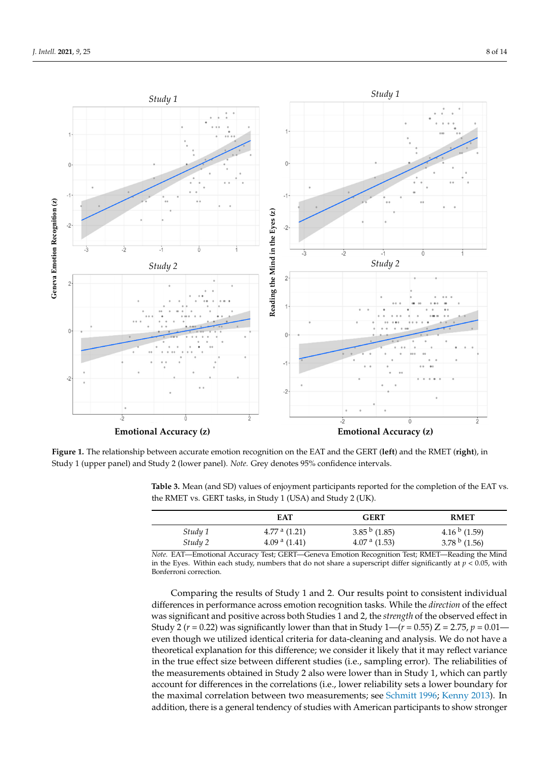<span id="page-8-0"></span>

Figure 1. The relationship between accurate emotion recognition on the EAT and the GERT (left) and the RMET (right), in in Study 1 (upper panel) and Study 2 (lower panel). *Note.* Grey denotes 95% confidence intervals. Study 1 (upper panel) and Study 2 (lower panel). *Note.* Grey denotes 95% confidence intervals.

|         | EAT            | <b>GERT</b>       | <b>RMET</b>               |
|---------|----------------|-------------------|---------------------------|
| Study 1 | $4.77a$ (1.21) | $3.85^{b}$ (1.85) | 4.16 $\frac{b}{1.59}$     |
| Study 2 | $4.09a$ (1.41) | $4.07a$ (1.53)    | 3.78 $\frac{b}{c}$ (1.56) |

<span id="page-8-1"></span>Table 3. Mean (and SD) values of enjoyment participants reported for the completion of the EAT vs.  $\frac{1}{2}$ . The Table 2) variety we explore  $\frac{1}{2}$ . The three three three three three correlations between the three correlations between the three correlations between the three correlations of  $\frac{1}{2}$ . The correlati the RMET vs. GERT tasks, in Study 1 (USA) and Study 2 (UK).

*Note.* EAT—Emotional Accuracy Test; GERT—Geneva Emotion Recognition Test; RMET—Reading the Mind in the Eyes. Within each study, numbers that do not share a superscript differ significantly at  $p < 0.05$ , with Bonferroni correction.

Comparing the results of Study 1 and 2. Our results point to consistent individual differences in performance across emotion recognition tasks. While the *direction* of the effect was significant and positive across both Studies 1 and 2, the *strength* of the observed effect in Study 2 ( $r = 0.22$ ) was significantly lower than that in Study 1—( $r = 0.55$ ) Z = 2.75,  $p = 0.01$  even though we utilized identical criteria for data-cleaning and analysis. We do not have a theoretical explanation for this difference; we consider it likely that it may reflect variance in the true effect size between different studies (i.e., sampling error). The reliabilities of the measurements obtained in Study 2 also were lower than in Study 1, which can partly account for differences in the correlations (i.e., lower reliability sets a lower boundary for the maximal correlation between two measurements; see [Schmitt](#page-14-10) [1996;](#page-14-10) [Kenny](#page-13-25) [2013\)](#page-13-25). In addition, there is a general tendency of studies with American participants to show stronger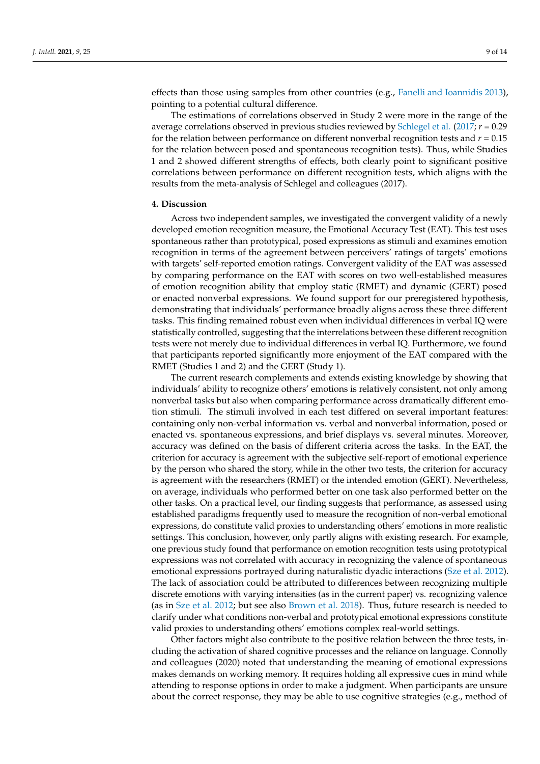effects than those using samples from other countries (e.g., [Fanelli and Ioannidis](#page-12-13) [2013\)](#page-12-13), pointing to a potential cultural difference.

The estimations of correlations observed in Study 2 were more in the range of the average correlations observed in previous studies reviewed by [Schlegel et al.](#page-14-6) [\(2017;](#page-14-6) *r* = 0.29 for the relation between performance on different nonverbal recognition tests and *r* = 0.15 for the relation between posed and spontaneous recognition tests). Thus, while Studies 1 and 2 showed different strengths of effects, both clearly point to significant positive correlations between performance on different recognition tests, which aligns with the results from the meta-analysis of Schlegel and colleagues (2017).

#### **4. Discussion**

Across two independent samples, we investigated the convergent validity of a newly developed emotion recognition measure, the Emotional Accuracy Test (EAT). This test uses spontaneous rather than prototypical, posed expressions as stimuli and examines emotion recognition in terms of the agreement between perceivers' ratings of targets' emotions with targets' self-reported emotion ratings. Convergent validity of the EAT was assessed by comparing performance on the EAT with scores on two well-established measures of emotion recognition ability that employ static (RMET) and dynamic (GERT) posed or enacted nonverbal expressions. We found support for our preregistered hypothesis, demonstrating that individuals' performance broadly aligns across these three different tasks. This finding remained robust even when individual differences in verbal IQ were statistically controlled, suggesting that the interrelations between these different recognition tests were not merely due to individual differences in verbal IQ. Furthermore, we found that participants reported significantly more enjoyment of the EAT compared with the RMET (Studies 1 and 2) and the GERT (Study 1).

The current research complements and extends existing knowledge by showing that individuals' ability to recognize others' emotions is relatively consistent, not only among nonverbal tasks but also when comparing performance across dramatically different emotion stimuli. The stimuli involved in each test differed on several important features: containing only non-verbal information vs. verbal and nonverbal information, posed or enacted vs. spontaneous expressions, and brief displays vs. several minutes. Moreover, accuracy was defined on the basis of different criteria across the tasks. In the EAT, the criterion for accuracy is agreement with the subjective self-report of emotional experience by the person who shared the story, while in the other two tests, the criterion for accuracy is agreement with the researchers (RMET) or the intended emotion (GERT). Nevertheless, on average, individuals who performed better on one task also performed better on the other tasks. On a practical level, our finding suggests that performance, as assessed using established paradigms frequently used to measure the recognition of non-verbal emotional expressions, do constitute valid proxies to understanding others' emotions in more realistic settings. This conclusion, however, only partly aligns with existing research. For example, one previous study found that performance on emotion recognition tests using prototypical expressions was not correlated with accuracy in recognizing the valence of spontaneous emotional expressions portrayed during naturalistic dyadic interactions [\(Sze et al.](#page-14-11) [2012\)](#page-14-11). The lack of association could be attributed to differences between recognizing multiple discrete emotions with varying intensities (as in the current paper) vs. recognizing valence (as in [Sze et al.](#page-14-11) [2012;](#page-14-11) but see also [Brown et al.](#page-12-14) [2018\)](#page-12-14). Thus, future research is needed to clarify under what conditions non-verbal and prototypical emotional expressions constitute valid proxies to understanding others' emotions complex real-world settings.

Other factors might also contribute to the positive relation between the three tests, including the activation of shared cognitive processes and the reliance on language. Connolly and colleagues (2020) noted that understanding the meaning of emotional expressions makes demands on working memory. It requires holding all expressive cues in mind while attending to response options in order to make a judgment. When participants are unsure about the correct response, they may be able to use cognitive strategies (e.g., method of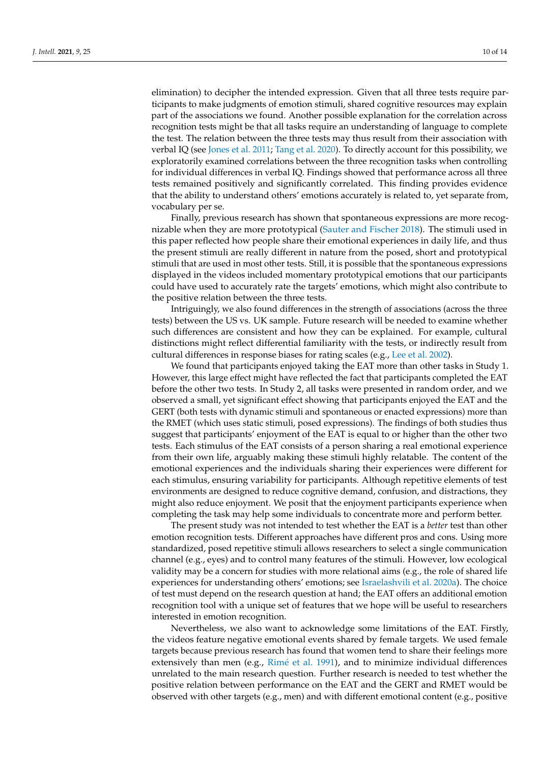elimination) to decipher the intended expression. Given that all three tests require participants to make judgments of emotion stimuli, shared cognitive resources may explain part of the associations we found. Another possible explanation for the correlation across recognition tests might be that all tasks require an understanding of language to complete the test. The relation between the three tests may thus result from their association with verbal IQ (see [Jones et al.](#page-13-26) [2011;](#page-13-26) [Tang et al.](#page-14-12) [2020\)](#page-14-12). To directly account for this possibility, we exploratorily examined correlations between the three recognition tasks when controlling for individual differences in verbal IQ. Findings showed that performance across all three tests remained positively and significantly correlated. This finding provides evidence that the ability to understand others' emotions accurately is related to, yet separate from, vocabulary per se.

Finally, previous research has shown that spontaneous expressions are more recognizable when they are more prototypical [\(Sauter and Fischer](#page-13-8) [2018\)](#page-13-8). The stimuli used in this paper reflected how people share their emotional experiences in daily life, and thus the present stimuli are really different in nature from the posed, short and prototypical stimuli that are used in most other tests. Still, it is possible that the spontaneous expressions displayed in the videos included momentary prototypical emotions that our participants could have used to accurately rate the targets' emotions, which might also contribute to the positive relation between the three tests.

Intriguingly, we also found differences in the strength of associations (across the three tests) between the US vs. UK sample. Future research will be needed to examine whether such differences are consistent and how they can be explained. For example, cultural distinctions might reflect differential familiarity with the tests, or indirectly result from cultural differences in response biases for rating scales (e.g., [Lee et al.](#page-13-27) [2002\)](#page-13-27).

We found that participants enjoyed taking the EAT more than other tasks in Study 1. However, this large effect might have reflected the fact that participants completed the EAT before the other two tests. In Study 2, all tasks were presented in random order, and we observed a small, yet significant effect showing that participants enjoyed the EAT and the GERT (both tests with dynamic stimuli and spontaneous or enacted expressions) more than the RMET (which uses static stimuli, posed expressions). The findings of both studies thus suggest that participants' enjoyment of the EAT is equal to or higher than the other two tests. Each stimulus of the EAT consists of a person sharing a real emotional experience from their own life, arguably making these stimuli highly relatable. The content of the emotional experiences and the individuals sharing their experiences were different for each stimulus, ensuring variability for participants. Although repetitive elements of test environments are designed to reduce cognitive demand, confusion, and distractions, they might also reduce enjoyment. We posit that the enjoyment participants experience when completing the task may help some individuals to concentrate more and perform better.

The present study was not intended to test whether the EAT is a *better* test than other emotion recognition tests. Different approaches have different pros and cons. Using more standardized, posed repetitive stimuli allows researchers to select a single communication channel (e.g., eyes) and to control many features of the stimuli. However, low ecological validity may be a concern for studies with more relational aims (e.g., the role of shared life experiences for understanding others' emotions; see [Israelashvili et al.](#page-13-17) [2020a\)](#page-13-17). The choice of test must depend on the research question at hand; the EAT offers an additional emotion recognition tool with a unique set of features that we hope will be useful to researchers interested in emotion recognition.

Nevertheless, we also want to acknowledge some limitations of the EAT. Firstly, the videos feature negative emotional events shared by female targets. We used female targets because previous research has found that women tend to share their feelings more extensively than men (e.g., Rimé [et al.](#page-13-28) [1991\)](#page-13-28), and to minimize individual differences unrelated to the main research question. Further research is needed to test whether the positive relation between performance on the EAT and the GERT and RMET would be observed with other targets (e.g., men) and with different emotional content (e.g., positive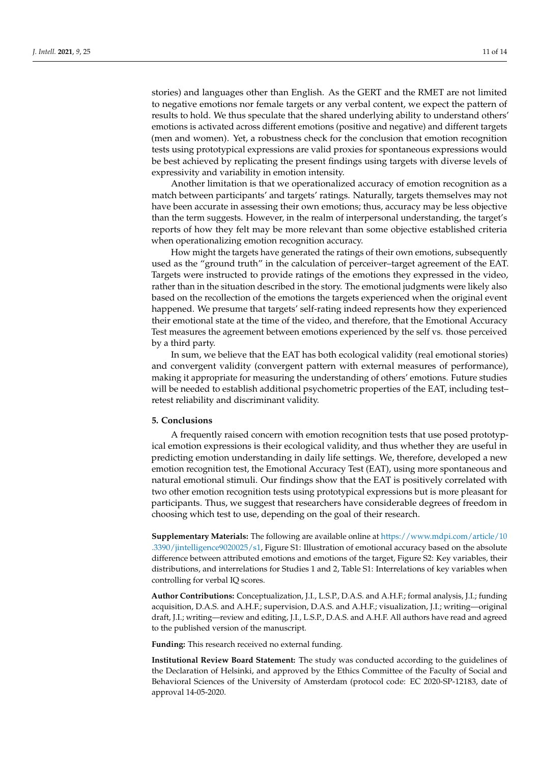stories) and languages other than English. As the GERT and the RMET are not limited to negative emotions nor female targets or any verbal content, we expect the pattern of results to hold. We thus speculate that the shared underlying ability to understand others' emotions is activated across different emotions (positive and negative) and different targets (men and women). Yet, a robustness check for the conclusion that emotion recognition tests using prototypical expressions are valid proxies for spontaneous expressions would be best achieved by replicating the present findings using targets with diverse levels of expressivity and variability in emotion intensity.

Another limitation is that we operationalized accuracy of emotion recognition as a match between participants' and targets' ratings. Naturally, targets themselves may not have been accurate in assessing their own emotions; thus, accuracy may be less objective than the term suggests. However, in the realm of interpersonal understanding, the target's reports of how they felt may be more relevant than some objective established criteria when operationalizing emotion recognition accuracy.

How might the targets have generated the ratings of their own emotions, subsequently used as the "ground truth" in the calculation of perceiver–target agreement of the EAT. Targets were instructed to provide ratings of the emotions they expressed in the video, rather than in the situation described in the story. The emotional judgments were likely also based on the recollection of the emotions the targets experienced when the original event happened. We presume that targets' self-rating indeed represents how they experienced their emotional state at the time of the video, and therefore, that the Emotional Accuracy Test measures the agreement between emotions experienced by the self vs. those perceived by a third party.

In sum, we believe that the EAT has both ecological validity (real emotional stories) and convergent validity (convergent pattern with external measures of performance), making it appropriate for measuring the understanding of others' emotions. Future studies will be needed to establish additional psychometric properties of the EAT, including test– retest reliability and discriminant validity.

### **5. Conclusions**

A frequently raised concern with emotion recognition tests that use posed prototypical emotion expressions is their ecological validity, and thus whether they are useful in predicting emotion understanding in daily life settings. We, therefore, developed a new emotion recognition test, the Emotional Accuracy Test (EAT), using more spontaneous and natural emotional stimuli. Our findings show that the EAT is positively correlated with two other emotion recognition tests using prototypical expressions but is more pleasant for participants. Thus, we suggest that researchers have considerable degrees of freedom in choosing which test to use, depending on the goal of their research.

**Supplementary Materials:** The following are available online at [https://www.mdpi.com/article/10](https://www.mdpi.com/article/10.3390/jintelligence9020025/s1) [.3390/jintelligence9020025/s1,](https://www.mdpi.com/article/10.3390/jintelligence9020025/s1) Figure S1: Illustration of emotional accuracy based on the absolute difference between attributed emotions and emotions of the target, Figure S2: Key variables, their distributions, and interrelations for Studies 1 and 2, Table S1: Interrelations of key variables when controlling for verbal IQ scores.

**Author Contributions:** Conceptualization, J.I., L.S.P., D.A.S. and A.H.F.; formal analysis, J.I.; funding acquisition, D.A.S. and A.H.F.; supervision, D.A.S. and A.H.F.; visualization, J.I.; writing—original draft, J.I.; writing—review and editing, J.I., L.S.P., D.A.S. and A.H.F. All authors have read and agreed to the published version of the manuscript.

**Funding:** This research received no external funding.

**Institutional Review Board Statement:** The study was conducted according to the guidelines of the Declaration of Helsinki, and approved by the Ethics Committee of the Faculty of Social and Behavioral Sciences of the University of Amsterdam (protocol code: EC 2020-SP-12183, date of approval 14-05-2020.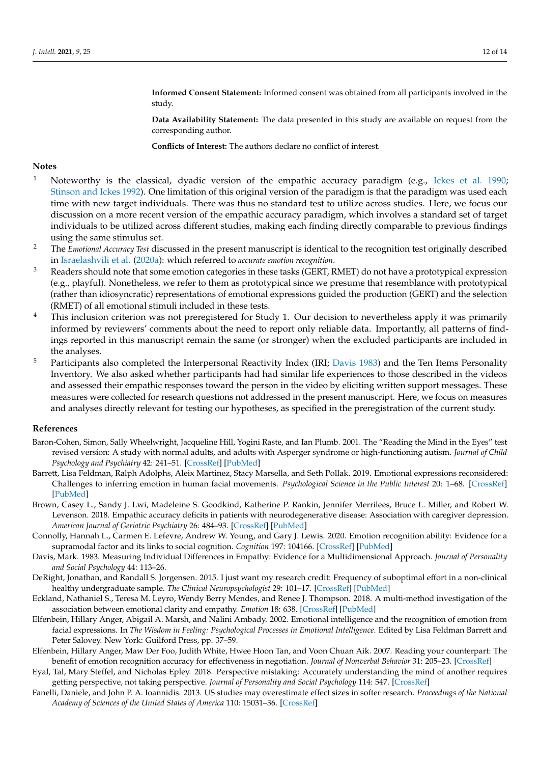**Informed Consent Statement:** Informed consent was obtained from all participants involved in the study.

**Data Availability Statement:** The data presented in this study are available on request from the corresponding author.

**Conflicts of Interest:** The authors declare no conflict of interest.

## **Notes**

- <span id="page-12-3"></span><sup>1</sup> Noteworthy is the classical, dyadic version of the empathic accuracy paradigm (e.g., [Ickes et al.](#page-13-15) [1990;](#page-13-15) [Stinson and Ickes](#page-14-13) [1992\)](#page-14-13). One limitation of this original version of the paradigm is that the paradigm was used each time with new target individuals. There was thus no standard test to utilize across studies. Here, we focus our discussion on a more recent version of the empathic accuracy paradigm, which involves a standard set of target individuals to be utilized across different studies, making each finding directly comparable to previous findings using the same stimulus set.
- <span id="page-12-4"></span><sup>2</sup> The *Emotional Accuracy Test* discussed in the present manuscript is identical to the recognition test originally described in [Israelashvili et al.](#page-13-17) [\(2020a\)](#page-13-17): which referred to *accurate emotion recognition*.
- <span id="page-12-8"></span><sup>3</sup> Readers should note that some emotion categories in these tasks (GERT, RMET) do not have a prototypical expression (e.g., playful). Nonetheless, we refer to them as prototypical since we presume that resemblance with prototypical (rather than idiosyncratic) representations of emotional expressions guided the production (GERT) and the selection (RMET) of all emotional stimuli included in these tests.
- <span id="page-12-9"></span><sup>4</sup> This inclusion criterion was not preregistered for Study 1. Our decision to nevertheless apply it was primarily informed by reviewers' comments about the need to report only reliable data. Importantly, all patterns of findings reported in this manuscript remain the same (or stronger) when the excluded participants are included in the analyses.
- <span id="page-12-12"></span>Participants also completed the Interpersonal Reactivity Index (IRI; [Davis](#page-12-15) [1983\)](#page-12-15) and the Ten Items Personality Inventory. We also asked whether participants had had similar life experiences to those described in the videos and assessed their empathic responses toward the person in the video by eliciting written support messages. These measures were collected for research questions not addressed in the present manuscript. Here, we focus on measures and analyses directly relevant for testing our hypotheses, as specified in the preregistration of the current study.

### **References**

- <span id="page-12-7"></span>Baron-Cohen, Simon, Sally Wheelwright, Jacqueline Hill, Yogini Raste, and Ian Plumb. 2001. The "Reading the Mind in the Eyes" test revised version: A study with normal adults, and adults with Asperger syndrome or high-functioning autism. *Journal of Child Psychology and Psychiatry* 42: 241–51. [\[CrossRef\]](http://doi.org/10.1111/1469-7610.00715) [\[PubMed\]](http://www.ncbi.nlm.nih.gov/pubmed/11280420)
- <span id="page-12-2"></span>Barrett, Lisa Feldman, Ralph Adolphs, Aleix Martinez, Stacy Marsella, and Seth Pollak. 2019. Emotional expressions reconsidered: Challenges to inferring emotion in human facial movements. *Psychological Science in the Public Interest* 20: 1–68. [\[CrossRef\]](http://doi.org/10.1177/1529100619832930) [\[PubMed\]](http://www.ncbi.nlm.nih.gov/pubmed/31313636)
- <span id="page-12-14"></span>Brown, Casey L., Sandy J. Lwi, Madeleine S. Goodkind, Katherine P. Rankin, Jennifer Merrilees, Bruce L. Miller, and Robert W. Levenson. 2018. Empathic accuracy deficits in patients with neurodegenerative disease: Association with caregiver depression. *American Journal of Geriatric Psychiatry* 26: 484–93. [\[CrossRef\]](http://doi.org/10.1016/j.jagp.2017.10.012) [\[PubMed\]](http://www.ncbi.nlm.nih.gov/pubmed/29289452)
- <span id="page-12-5"></span>Connolly, Hannah L., Carmen E. Lefevre, Andrew W. Young, and Gary J. Lewis. 2020. Emotion recognition ability: Evidence for a supramodal factor and its links to social cognition. *Cognition* 197: 104166. [\[CrossRef\]](http://doi.org/10.1016/j.cognition.2019.104166) [\[PubMed\]](http://www.ncbi.nlm.nih.gov/pubmed/31951857)
- <span id="page-12-15"></span>Davis, Mark. 1983. Measuring Individual Differences in Empathy: Evidence for a Multidimensional Approach. *Journal of Personality and Social Psychology* 44: 113–26.
- <span id="page-12-6"></span>DeRight, Jonathan, and Randall S. Jorgensen. 2015. I just want my research credit: Frequency of suboptimal effort in a non-clinical healthy undergraduate sample. *The Clinical Neuropsychologist* 29: 101–17. [\[CrossRef\]](http://doi.org/10.1080/13854046.2014.989267) [\[PubMed\]](http://www.ncbi.nlm.nih.gov/pubmed/25494327)
- <span id="page-12-11"></span>Eckland, Nathaniel S., Teresa M. Leyro, Wendy Berry Mendes, and Renee J. Thompson. 2018. A multi-method investigation of the association between emotional clarity and empathy. *Emotion* 18: 638. [\[CrossRef\]](http://doi.org/10.1037/emo0000377) [\[PubMed\]](http://www.ncbi.nlm.nih.gov/pubmed/29172622)
- <span id="page-12-1"></span>Elfenbein, Hillary Anger, Abigail A. Marsh, and Nalini Ambady. 2002. Emotional intelligence and the recognition of emotion from facial expressions. In *The Wisdom in Feeling: Psychological Processes in Emotional Intelligence*. Edited by Lisa Feldman Barrett and Peter Salovey. New York: Guilford Press, pp. 37–59.
- <span id="page-12-0"></span>Elfenbein, Hillary Anger, Maw Der Foo, Judith White, Hwee Hoon Tan, and Voon Chuan Aik. 2007. Reading your counterpart: The benefit of emotion recognition accuracy for effectiveness in negotiation. *Journal of Nonverbal Behavior* 31: 205–23. [\[CrossRef\]](http://doi.org/10.1007/s10919-007-0033-7)
- <span id="page-12-10"></span>Eyal, Tal, Mary Steffel, and Nicholas Epley. 2018. Perspective mistaking: Accurately understanding the mind of another requires getting perspective, not taking perspective. *Journal of Personality and Social Psychology* 114: 547. [\[CrossRef\]](http://doi.org/10.1037/pspa0000115)
- <span id="page-12-13"></span>Fanelli, Daniele, and John P. A. Ioannidis. 2013. US studies may overestimate effect sizes in softer research. *Proceedings of the National Academy of Sciences of the United States of America* 110: 15031–36. [\[CrossRef\]](http://doi.org/10.1073/pnas.1302997110)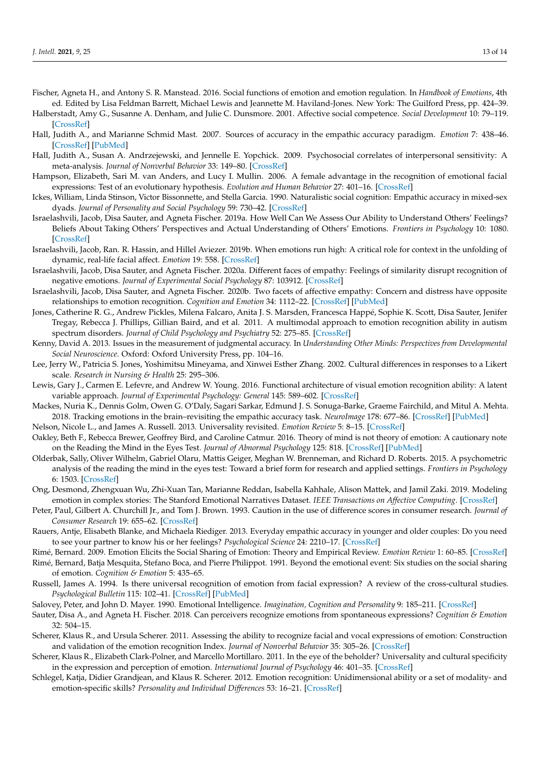- <span id="page-13-0"></span>Fischer, Agneta H., and Antony S. R. Manstead. 2016. Social functions of emotion and emotion regulation. In *Handbook of Emotions*, 4th ed. Edited by Lisa Feldman Barrett, Michael Lewis and Jeannette M. Haviland-Jones. New York: The Guilford Press, pp. 424–39.
- <span id="page-13-3"></span>Halberstadt, Amy G., Susanne A. Denham, and Julie C. Dunsmore. 2001. Affective social competence. *Social Development* 10: 79–119. [\[CrossRef\]](http://doi.org/10.1111/1467-9507.00150)
- <span id="page-13-12"></span>Hall, Judith A., and Marianne Schmid Mast. 2007. Sources of accuracy in the empathic accuracy paradigm. *Emotion* 7: 438–46. [\[CrossRef\]](http://doi.org/10.1037/1528-3542.7.2.438) [\[PubMed\]](http://www.ncbi.nlm.nih.gov/pubmed/17516820)
- <span id="page-13-1"></span>Hall, Judith A., Susan A. Andrzejewski, and Jennelle E. Yopchick. 2009. Psychosocial correlates of interpersonal sensitivity: A meta-analysis. *Journal of Nonverbal Behavior* 33: 149–80. [\[CrossRef\]](http://doi.org/10.1007/s10919-009-0070-5)
- <span id="page-13-4"></span>Hampson, Elizabeth, Sari M. van Anders, and Lucy I. Mullin. 2006. A female advantage in the recognition of emotional facial expressions: Test of an evolutionary hypothesis. *Evolution and Human Behavior* 27: 401–16. [\[CrossRef\]](http://doi.org/10.1016/j.evolhumbehav.2006.05.002)
- <span id="page-13-15"></span>Ickes, William, Linda Stinson, Victor Bissonnette, and Stella Garcia. 1990. Naturalistic social cognition: Empathic accuracy in mixed-sex dyads. *Journal of Personality and Social Psychology* 59: 730–42. [\[CrossRef\]](http://doi.org/10.1037/0022-3514.59.4.730)
- <span id="page-13-5"></span>Israelashvili, Jacob, Disa Sauter, and Agneta Fischer. 2019a. How Well Can We Assess Our Ability to Understand Others' Feelings? Beliefs About Taking Others' Perspectives and Actual Understanding of Others' Emotions. *Frontiers in Psychology* 10: 1080. [\[CrossRef\]](http://doi.org/10.3389/fpsyg.2019.02475)
- <span id="page-13-10"></span>Israelashvili, Jacob, Ran. R. Hassin, and Hillel Aviezer. 2019b. When emotions run high: A critical role for context in the unfolding of dynamic, real-life facial affect. *Emotion* 19: 558. [\[CrossRef\]](http://doi.org/10.1037/emo0000441)
- <span id="page-13-17"></span>Israelashvili, Jacob, Disa Sauter, and Agneta Fischer. 2020a. Different faces of empathy: Feelings of similarity disrupt recognition of negative emotions. *Journal of Experimental Social Psychology* 87: 103912. [\[CrossRef\]](http://doi.org/10.1016/j.jesp.2019.103912)
- <span id="page-13-22"></span>Israelashvili, Jacob, Disa Sauter, and Agneta Fischer. 2020b. Two facets of affective empathy: Concern and distress have opposite relationships to emotion recognition. *Cognition and Emotion* 34: 1112–22. [\[CrossRef\]](http://doi.org/10.1080/02699931.2020.1724893) [\[PubMed\]](http://www.ncbi.nlm.nih.gov/pubmed/32046586)
- <span id="page-13-26"></span>Jones, Catherine R. G., Andrew Pickles, Milena Falcaro, Anita J. S. Marsden, Francesca Happé, Sophie K. Scott, Disa Sauter, Jenifer Tregay, Rebecca J. Phillips, Gillian Baird, and et al. 2011. A multimodal approach to emotion recognition ability in autism spectrum disorders. *Journal of Child Psychology and Psychiatry* 52: 275–85. [\[CrossRef\]](http://doi.org/10.1111/j.1469-7610.2010.02328.x)
- <span id="page-13-25"></span>Kenny, David A. 2013. Issues in the measurement of judgmental accuracy. In *Understanding Other Minds: Perspectives from Developmental Social Neuroscience*. Oxford: Oxford University Press, pp. 104–16.
- <span id="page-13-27"></span>Lee, Jerry W., Patricia S. Jones, Yoshimitsu Mineyama, and Xinwei Esther Zhang. 2002. Cultural differences in responses to a Likert scale. *Research in Nursing & Health* 25: 295–306.
- <span id="page-13-19"></span>Lewis, Gary J., Carmen E. Lefevre, and Andrew W. Young. 2016. Functional architecture of visual emotion recognition ability: A latent variable approach. *Journal of Experimental Psychology: General* 145: 589–602. [\[CrossRef\]](http://doi.org/10.1037/xge0000160)
- <span id="page-13-23"></span>Mackes, Nuria K., Dennis Golm, Owen G. O'Daly, Sagari Sarkar, Edmund J. S. Sonuga-Barke, Graeme Fairchild, and Mitul A. Mehta. 2018. Tracking emotions in the brain–revisiting the empathic accuracy task. *NeuroImage* 178: 677–86. [\[CrossRef\]](http://doi.org/10.1016/j.neuroimage.2018.05.080) [\[PubMed\]](http://www.ncbi.nlm.nih.gov/pubmed/29890323)
- <span id="page-13-7"></span>Nelson, Nicole L., and James A. Russell. 2013. Universality revisited. *Emotion Review* 5: 8–15. [\[CrossRef\]](http://doi.org/10.1177/1754073912457227)
- <span id="page-13-20"></span>Oakley, Beth F., Rebecca Brewer, Geoffrey Bird, and Caroline Catmur. 2016. Theory of mind is not theory of emotion: A cautionary note on the Reading the Mind in the Eyes Test. *Journal of Abnormal Psychology* 125: 818. [\[CrossRef\]](http://doi.org/10.1037/abn0000182) [\[PubMed\]](http://www.ncbi.nlm.nih.gov/pubmed/27505409)
- <span id="page-13-21"></span>Olderbak, Sally, Oliver Wilhelm, Gabriel Olaru, Mattis Geiger, Meghan W. Brenneman, and Richard D. Roberts. 2015. A psychometric analysis of the reading the mind in the eyes test: Toward a brief form for research and applied settings. *Frontiers in Psychology* 6: 1503. [\[CrossRef\]](http://doi.org/10.3389/fpsyg.2015.01503)
- <span id="page-13-14"></span>Ong, Desmond, Zhengxuan Wu, Zhi-Xuan Tan, Marianne Reddan, Isabella Kahhale, Alison Mattek, and Jamil Zaki. 2019. Modeling emotion in complex stories: The Stanford Emotional Narratives Dataset. *IEEE Transactions on Affective Computing*. [\[CrossRef\]](http://doi.org/10.1109/TAFFC.2019.2955949)
- <span id="page-13-24"></span>Peter, Paul, Gilbert A. Churchill Jr., and Tom J. Brown. 1993. Caution in the use of difference scores in consumer research. *Journal of Consumer Research* 19: 655–62. [\[CrossRef\]](http://doi.org/10.1086/209329)
- <span id="page-13-16"></span>Rauers, Antje, Elisabeth Blanke, and Michaela Riediger. 2013. Everyday empathic accuracy in younger and older couples: Do you need to see your partner to know his or her feelings? *Psychological Science* 24: 2210–17. [\[CrossRef\]](http://doi.org/10.1177/0956797613490747)
- <span id="page-13-28"></span><span id="page-13-13"></span>Rimé, Bernard. 2009. Emotion Elicits the Social Sharing of Emotion: Theory and Empirical Review. *Emotion Review* 1: 60–85. [\[CrossRef\]](http://doi.org/10.1177/1754073908097189) Rimé, Bernard, Batja Mesquita, Stefano Boca, and Pierre Philippot. 1991. Beyond the emotional event: Six studies on the social sharing of emotion. *Cognition & Emotion* 5: 435–65.
- <span id="page-13-9"></span>Russell, James A. 1994. Is there universal recognition of emotion from facial expression? A review of the cross-cultural studies. *Psychological Bulletin* 115: 102–41. [\[CrossRef\]](http://doi.org/10.1037/0033-2909.115.1.102) [\[PubMed\]](http://www.ncbi.nlm.nih.gov/pubmed/8202574)
- <span id="page-13-8"></span><span id="page-13-2"></span>Salovey, Peter, and John D. Mayer. 1990. Emotional Intelligence. *Imagination, Cognition and Personality* 9: 185–211. [\[CrossRef\]](http://doi.org/10.2190/DUGG-P24E-52WK-6CDG)
- Sauter, Disa A., and Agneta H. Fischer. 2018. Can perceivers recognize emotions from spontaneous expressions? *Cognition & Emotion* 32: 504–15.
- <span id="page-13-6"></span>Scherer, Klaus R., and Ursula Scherer. 2011. Assessing the ability to recognize facial and vocal expressions of emotion: Construction and validation of the emotion recognition Index. *Journal of Nonverbal Behavior* 35: 305–26. [\[CrossRef\]](http://doi.org/10.1007/s10919-011-0115-4)
- <span id="page-13-11"></span>Scherer, Klaus R., Elizabeth Clark-Polner, and Marcello Mortillaro. 2011. In the eye of the beholder? Universality and cultural specificity in the expression and perception of emotion. *International Journal of Psychology* 46: 401–35. [\[CrossRef\]](http://doi.org/10.1080/00207594.2011.626049)
- <span id="page-13-18"></span>Schlegel, Katja, Didier Grandjean, and Klaus R. Scherer. 2012. Emotion recognition: Unidimensional ability or a set of modality- and emotion-specific skills? *Personality and Individual Differences* 53: 16–21. [\[CrossRef\]](http://doi.org/10.1016/j.paid.2012.01.026)